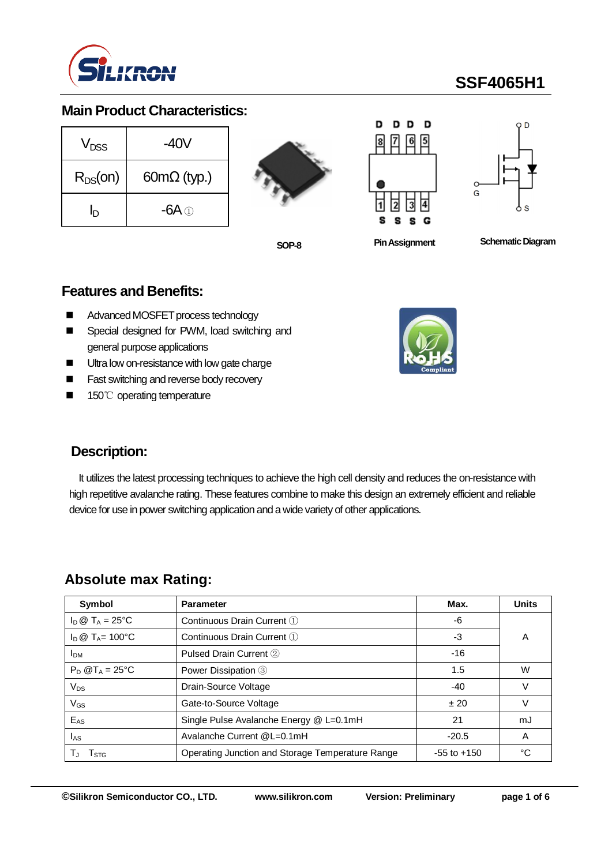

# **SSF4065H1**

## **Main Product Characteristics:**

| <b>V<sub>DSS</sub></b> | -40V               |  |  |  |
|------------------------|--------------------|--|--|--|
| $R_{DS}(on)$           | $60m\Omega$ (typ.) |  |  |  |
| 'n                     | -6A ①              |  |  |  |







**SOP-8**

**Pin Assignment Schematic Diagram** 

### **Features and Benefits:**

- Advanced MOSFET process technology
- Special designed for PWM, load switching and general purpose applications
- **Ultra low on-resistance with low gate charge**
- Fast switching and reverse body recovery
- 150℃ operating temperature



## **Description:**

It utilizes the latest processing techniques to achieve the high cell density and reduces the on-resistance with high repetitive avalanche rating. These features combine to make this design an extremely efficient and reliable device for use in power switching application and a wide variety of other applications.

## **Absolute max Rating:**

| Symbol                           | <b>Parameter</b>                                 | Max.            | <b>Units</b> |  |
|----------------------------------|--------------------------------------------------|-----------------|--------------|--|
| $I_D \otimes T_A = 25$ °C        | Continuous Drain Current 1                       | -6              |              |  |
| $I_D \otimes T_A = 100^{\circ}C$ | Continuous Drain Current 1                       |                 |              |  |
| <b>I</b> <sub>DM</sub>           | Pulsed Drain Current 2                           | $-16$           |              |  |
| $P_D @T_A = 25°C$                | Power Dissipation 3                              | 1.5             | W            |  |
| $V_{DS}$                         | Drain-Source Voltage                             | $-40$           | v            |  |
| $V_{GS}$                         | Gate-to-Source Voltage                           | ±20             |              |  |
| EAS                              | Single Pulse Avalanche Energy @ L=0.1mH          | 21              | mJ           |  |
| las                              | Avalanche Current @L=0.1mH                       | $-20.5$         | A            |  |
| I STG                            | Operating Junction and Storage Temperature Range | $-55$ to $+150$ | °C           |  |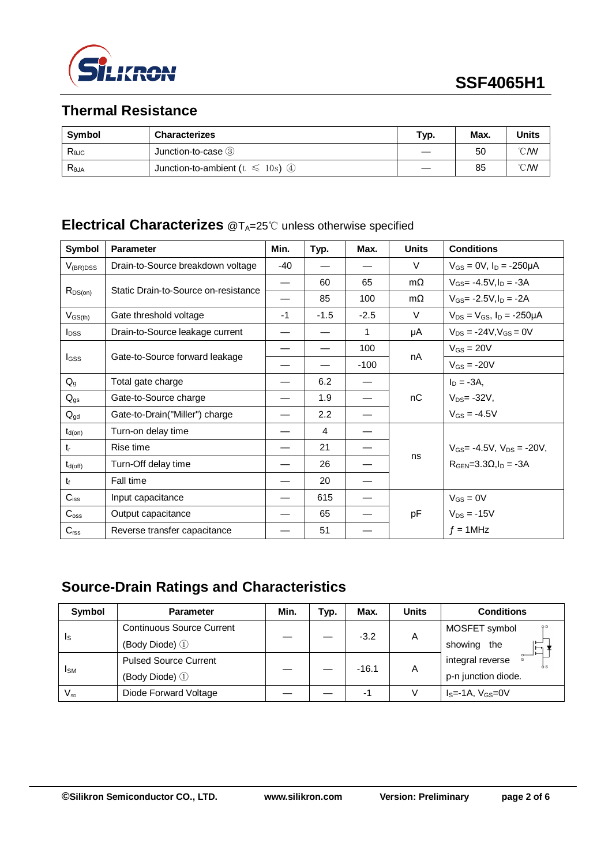

## **Thermal Resistance**

| Symbol             | <b>Characterizes</b>                    | Typ. | Max. | <b>Units</b>     |
|--------------------|-----------------------------------------|------|------|------------------|
| $R_{\theta$ J $C}$ | Junction-to-case 3                      |      | 50   | $\mathcal{C}$ MV |
| $R_{\theta$ JA     | Junction-to-ambient ( $t \le 10$ s) (4) |      | 85   | $\mathcal{C}$ MV |

## **Electrical Characterizes** @T<sub>A</sub>=25℃ unless otherwise specified

| Symbol                  | <b>Parameter</b>                     | Min.  | Typ.   | Max.   | <b>Units</b> | <b>Conditions</b>                      |
|-------------------------|--------------------------------------|-------|--------|--------|--------------|----------------------------------------|
| $V_{(BR)DSS}$           | Drain-to-Source breakdown voltage    | $-40$ |        |        | $\vee$       | $V_{GS} = 0V$ , $I_D = -250\mu A$      |
| $R_{DS(on)}$            | Static Drain-to-Source on-resistance |       | 60     | 65     | $m\Omega$    | $V_{GS} = -4.5V, I_D = -3A$            |
|                         |                                      |       | 85     | 100    | $m\Omega$    | $V_{GS}$ = -2.5V, $I_D$ = -2A          |
| $V_{GS(th)}$            | Gate threshold voltage               | -1    | $-1.5$ | $-2.5$ | V            | $V_{DS} = V_{GS}$ , $I_D = -250 \mu A$ |
| <b>I</b> <sub>DSS</sub> | Drain-to-Source leakage current      |       |        | 1      | μA           | $V_{DS} = -24V$ , $V_{GS} = 0V$        |
|                         |                                      |       |        | 100    | nA           | $V_{GS} = 20V$                         |
| <b>I</b> GSS            | Gate-to-Source forward leakage       |       |        | $-100$ |              | $V_{GS} = -20V$                        |
| $Q_g$                   | Total gate charge                    |       | 6.2    |        |              | $I_D = -3A$ ,                          |
| $Q_{gs}$                | Gate-to-Source charge                |       | 1.9    |        | nC           | $V_{DS} = -32V$ ,                      |
| $Q_{gd}$                | Gate-to-Drain("Miller") charge       |       | 2.2    |        |              | $V_{GS} = -4.5V$                       |
| $t_{d(on)}$             | Turn-on delay time                   |       | 4      |        |              |                                        |
| $t_{r}$                 | Rise time                            |       | 21     |        |              | $V_{GS}$ = -4.5V, $V_{DS}$ = -20V,     |
| $t_{d(off)}$            | Turn-Off delay time                  |       | 26     |        | ns           | $RGEN=3.3\Omega, I_D = -3A$            |
| $t_{\rm f}$             | Fall time                            |       | 20     |        |              |                                        |
| $C_{iss}$               | Input capacitance                    |       | 615    |        |              | $V_{GS} = 0V$                          |
| $C_{\rm oss}$           | Output capacitance                   |       | 65     |        | pF           | $V_{DS} = -15V$                        |
| C <sub>rss</sub>        | Reverse transfer capacitance         |       | 51     |        |              | $f = 1$ MHz                            |

## **Source-Drain Ratings and Characteristics**

| <b>Symbol</b>          | <b>Parameter</b>                 | Min. | Typ. | Max.    | <b>Units</b> | <b>Conditions</b>               |
|------------------------|----------------------------------|------|------|---------|--------------|---------------------------------|
| Is                     | <b>Continuous Source Current</b> |      |      | $-3.2$  | A            | MOSFET symbol<br>Q <sub>D</sub> |
|                        | (Body Diode) 1                   |      |      |         |              | showing<br>the                  |
| <b>I</b> <sub>SM</sub> | <b>Pulsed Source Current</b>     |      |      | $-16.1$ | A            | integral reverse                |
|                        | (Body Diode) 1                   |      |      |         |              | p-n junction diode.             |
| $V_{SD}$               | Diode Forward Voltage            |      |      | -1      |              | $IS=-1A$ , $VGS=0V$             |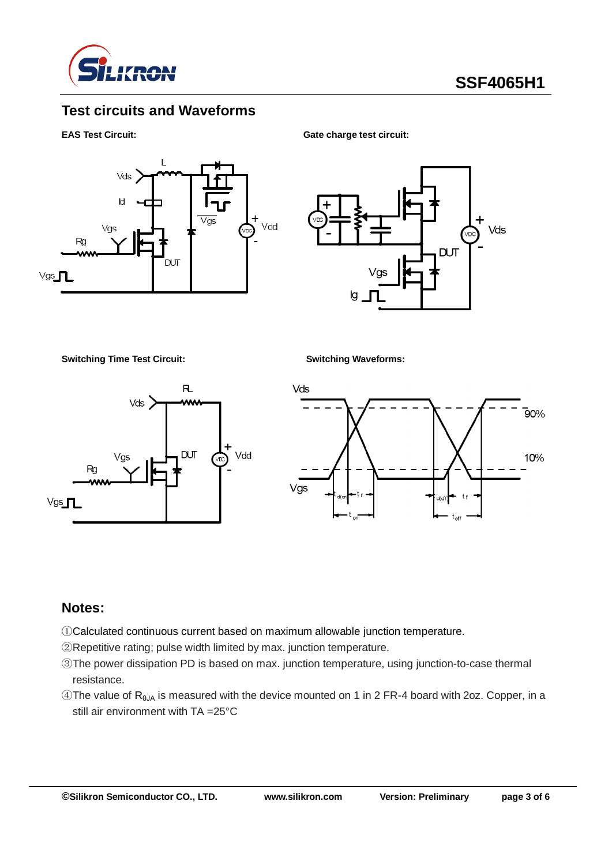

## **Test circuits and Waveforms**

#### **EAS Test Circuit:** Gate charge test circuit:



Vds **DUT** 

**Switching Time Test Circuit: Switching Waveforms:**





### **Notes:**

- ①Calculated continuous current based on maximum allowable junction temperature.
- ②Repetitive rating; pulse width limited by max. junction temperature.
- ③The power dissipation PD is based on max. junction temperature, using junction-to-case thermal resistance.
- $\circledA$ The value of R<sub>θJA</sub> is measured with the device mounted on 1 in 2 FR-4 board with 2oz. Copper, in a still air environment with TA =25°C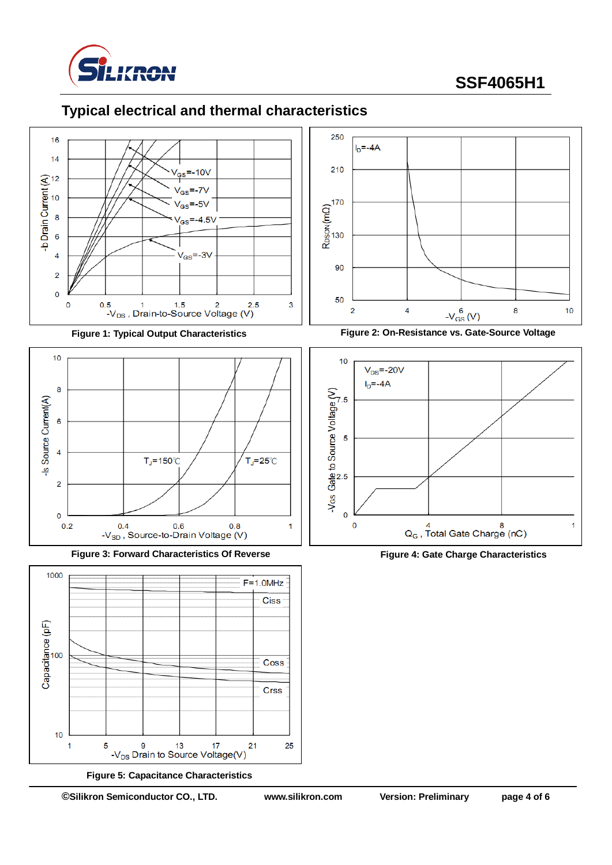

# **SSF4065H1**

# **Typical electrical and thermal characteristics**

250

210

 $I<sub>D</sub>=-4A$ 





**Figure 3: Forward Characteristics Of Reverse**



**Figure 5: Capacitance Characteristics**









**Figure 4: Gate Charge Characteristics**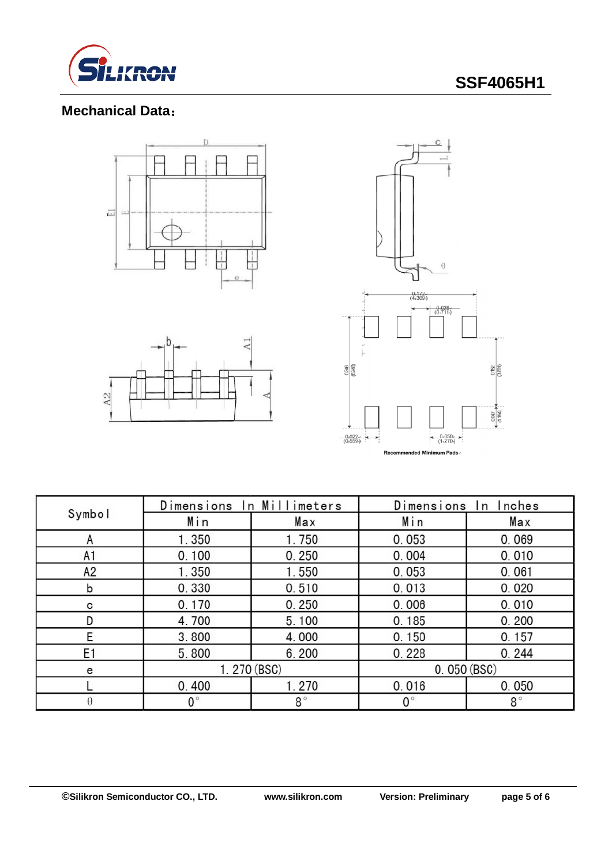

# **SSF4065H1**

## **Mechanical Data**:







|                | Dimensions In Millimeters |             | Dimensions In Inches |             |  |
|----------------|---------------------------|-------------|----------------------|-------------|--|
| Symbol         | Min                       | Max         | Min                  | Max         |  |
|                | 1.350                     | 1.750       | 0.053                | 0.069       |  |
| A1             | 0.100                     | 0.250       | 0.004                | 0.010       |  |
| A2             | 1.350                     | 1.550       | 0.053                | 0.061       |  |
| b              | 0.330                     | 0.510       | 0.013                | 0.020       |  |
| с              | 0.170                     | 0.250       | 0.006                | 0.010       |  |
|                | 4.700                     | 5.100       | 0.185                | 0.200       |  |
| E              | 3.800                     | 4.000       | 0.150                | 0.157       |  |
| E <sub>1</sub> | 5.800                     | 6.200       | 0.228                | 0.244       |  |
| e              | 1.270 (BSC)               |             | 0.050(BSC)           |             |  |
|                | 0.400                     | 1.270       | 0.016                | 0.050       |  |
|                | $0^{\circ}$               | $8^{\circ}$ | $0^{\circ}$          | $8^{\circ}$ |  |